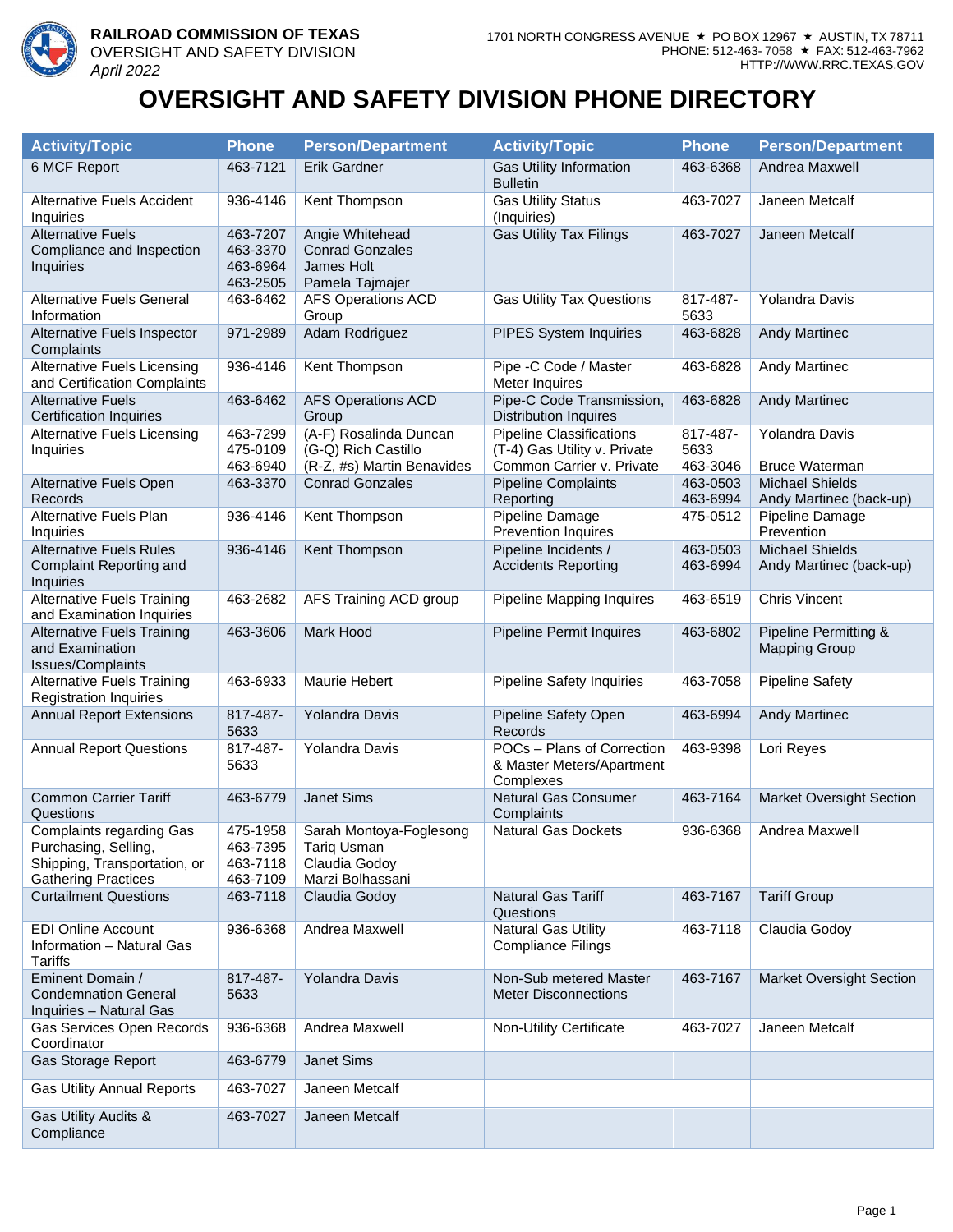

## **OVERSIGHT AND SAFETY DIVISION PHONE DIRECTORY**

| <b>Activity/Topic</b>                                                                                          | <b>Phone</b>                                 | <b>Person/Department</b>                                                    | <b>Activity/Topic</b>                                                                        | <b>Phone</b>                 | <b>Person/Department</b>                          |
|----------------------------------------------------------------------------------------------------------------|----------------------------------------------|-----------------------------------------------------------------------------|----------------------------------------------------------------------------------------------|------------------------------|---------------------------------------------------|
| 6 MCF Report                                                                                                   | 463-7121                                     | Erik Gardner                                                                | <b>Gas Utility Information</b><br><b>Bulletin</b>                                            | 463-6368                     | Andrea Maxwell                                    |
| <b>Alternative Fuels Accident</b><br>Inquiries                                                                 | 936-4146                                     | Kent Thompson                                                               | <b>Gas Utility Status</b><br>(Inquiries)                                                     | 463-7027                     | Janeen Metcalf                                    |
| <b>Alternative Fuels</b><br>Compliance and Inspection<br>Inquiries                                             | 463-7207<br>463-3370<br>463-6964<br>463-2505 | Angie Whitehead<br><b>Conrad Gonzales</b><br>James Holt<br>Pamela Tajmajer  | <b>Gas Utility Tax Filings</b>                                                               | 463-7027                     | Janeen Metcalf                                    |
| <b>Alternative Fuels General</b><br>Information                                                                | 463-6462                                     | <b>AFS Operations ACD</b><br>Group                                          | <b>Gas Utility Tax Questions</b>                                                             | 817-487-<br>5633             | Yolandra Davis                                    |
| Alternative Fuels Inspector<br>Complaints                                                                      | 971-2989                                     | Adam Rodriguez                                                              | PIPES System Inquiries                                                                       | 463-6828                     | <b>Andy Martinec</b>                              |
| <b>Alternative Fuels Licensing</b><br>and Certification Complaints                                             | 936-4146                                     | Kent Thompson                                                               | Pipe -C Code / Master<br>Meter Inquires                                                      | 463-6828                     | Andy Martinec                                     |
| <b>Alternative Fuels</b><br><b>Certification Inquiries</b>                                                     | 463-6462                                     | <b>AFS Operations ACD</b><br>Group                                          | Pipe-C Code Transmission,<br><b>Distribution Inquires</b>                                    | 463-6828                     | <b>Andy Martinec</b>                              |
| <b>Alternative Fuels Licensing</b><br>Inquiries                                                                | 463-7299<br>475-0109<br>463-6940             | (A-F) Rosalinda Duncan<br>(G-Q) Rich Castillo<br>(R-Z, #s) Martin Benavides | <b>Pipeline Classifications</b><br>(T-4) Gas Utility v. Private<br>Common Carrier v. Private | 817-487-<br>5633<br>463-3046 | Yolandra Davis<br><b>Bruce Waterman</b>           |
| Alternative Fuels Open<br><b>Records</b>                                                                       | 463-3370                                     | <b>Conrad Gonzales</b>                                                      | <b>Pipeline Complaints</b><br>Reporting                                                      | 463-0503<br>463-6994         | <b>Michael Shields</b><br>Andy Martinec (back-up) |
| Alternative Fuels Plan<br>Inquiries                                                                            | 936-4146                                     | Kent Thompson                                                               | Pipeline Damage<br><b>Prevention Inquires</b>                                                | 475-0512                     | Pipeline Damage<br>Prevention                     |
| <b>Alternative Fuels Rules</b><br>Complaint Reporting and<br>Inquiries                                         | 936-4146                                     | Kent Thompson                                                               | Pipeline Incidents /<br><b>Accidents Reporting</b>                                           | 463-0503<br>463-6994         | <b>Michael Shields</b><br>Andy Martinec (back-up) |
| <b>Alternative Fuels Training</b><br>and Examination Inquiries                                                 | 463-2682                                     | AFS Training ACD group                                                      | Pipeline Mapping Inquires                                                                    | 463-6519                     | <b>Chris Vincent</b>                              |
| <b>Alternative Fuels Training</b><br>and Examination<br>Issues/Complaints                                      | 463-3606                                     | Mark Hood                                                                   | Pipeline Permit Inquires                                                                     | 463-6802                     | Pipeline Permitting &<br><b>Mapping Group</b>     |
| <b>Alternative Fuels Training</b><br><b>Registration Inquiries</b>                                             | 463-6933                                     | Maurie Hebert                                                               | <b>Pipeline Safety Inquiries</b>                                                             | 463-7058                     | <b>Pipeline Safety</b>                            |
| <b>Annual Report Extensions</b>                                                                                | 817-487-<br>5633                             | Yolandra Davis                                                              | Pipeline Safety Open<br>Records                                                              | 463-6994                     | <b>Andy Martinec</b>                              |
| <b>Annual Report Questions</b>                                                                                 | 817-487-<br>5633                             | Yolandra Davis                                                              | POCs - Plans of Correction<br>& Master Meters/Apartment<br>Complexes                         | 463-9398                     | Lori Reyes                                        |
| <b>Common Carrier Tariff</b><br>Questions                                                                      | 463-6779                                     | Janet Sims                                                                  | Natural Gas Consumer<br>Complaints                                                           | 463-7164                     | <b>Market Oversight Section</b>                   |
| Complaints regarding Gas<br>Purchasing, Selling,<br>Shipping, Transportation, or<br><b>Gathering Practices</b> | 475-1958<br>463-7395<br>463-7118<br>463-7109 | Sarah Montoya-Foglesong<br>Tariq Usman<br>Claudia Godoy<br>Marzi Bolhassani | <b>Natural Gas Dockets</b>                                                                   | 936-6368                     | Andrea Maxwell                                    |
| <b>Curtailment Questions</b>                                                                                   | 463-7118                                     | Claudia Godoy                                                               | Natural Gas Tariff<br>Questions                                                              | 463-7167                     | <b>Tariff Group</b>                               |
| <b>EDI Online Account</b><br>Information - Natural Gas<br>Tariffs                                              | 936-6368                                     | Andrea Maxwell                                                              | <b>Natural Gas Utility</b><br><b>Compliance Filings</b>                                      | 463-7118                     | Claudia Godoy                                     |
| Eminent Domain /<br><b>Condemnation General</b><br>Inquiries - Natural Gas                                     | 817-487-<br>5633                             | Yolandra Davis                                                              | Non-Sub metered Master<br><b>Meter Disconnections</b>                                        | 463-7167                     | <b>Market Oversight Section</b>                   |
| Gas Services Open Records<br>Coordinator                                                                       | 936-6368                                     | Andrea Maxwell                                                              | Non-Utility Certificate                                                                      | 463-7027                     | Janeen Metcalf                                    |
| Gas Storage Report                                                                                             | 463-6779                                     | Janet Sims                                                                  |                                                                                              |                              |                                                   |
| <b>Gas Utility Annual Reports</b>                                                                              | 463-7027                                     | Janeen Metcalf                                                              |                                                                                              |                              |                                                   |
| Gas Utility Audits &<br>Compliance                                                                             | 463-7027                                     | Janeen Metcalf                                                              |                                                                                              |                              |                                                   |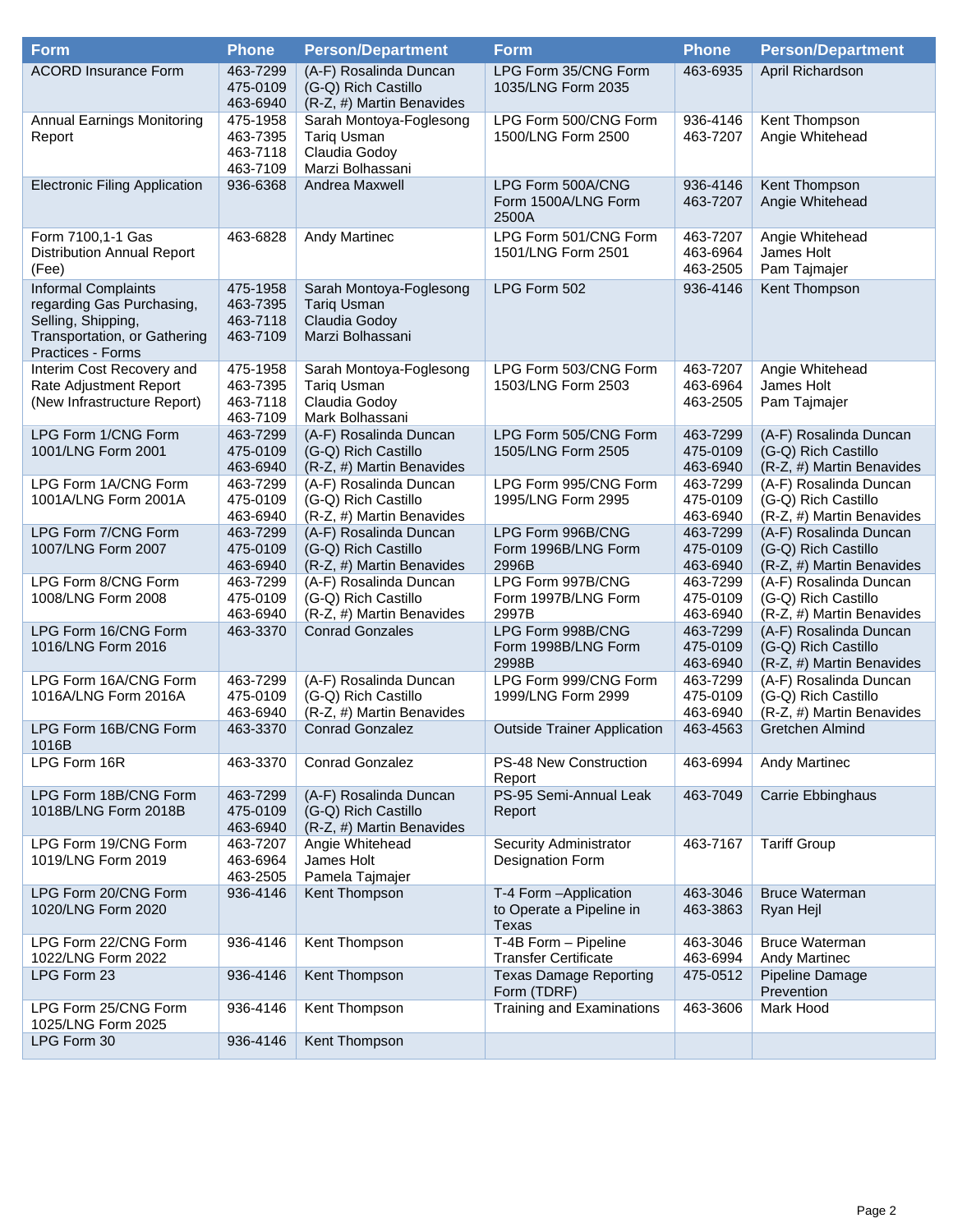| <b>Form</b>                                                                                                                 | <b>Phone</b>                                 | <b>Person/Department</b>                                                           | <b>Form</b>                                                 | <b>Phone</b>                     | <b>Person/Department</b>                                                   |
|-----------------------------------------------------------------------------------------------------------------------------|----------------------------------------------|------------------------------------------------------------------------------------|-------------------------------------------------------------|----------------------------------|----------------------------------------------------------------------------|
| <b>ACORD Insurance Form</b>                                                                                                 | 463-7299<br>475-0109<br>463-6940             | (A-F) Rosalinda Duncan<br>(G-Q) Rich Castillo<br>(R-Z, #) Martin Benavides         | LPG Form 35/CNG Form<br>1035/LNG Form 2035                  | 463-6935                         | April Richardson                                                           |
| <b>Annual Earnings Monitoring</b><br>Report                                                                                 | 475-1958<br>463-7395<br>463-7118<br>463-7109 | Sarah Montoya-Foglesong<br><b>Tariq Usman</b><br>Claudia Godoy<br>Marzi Bolhassani | LPG Form 500/CNG Form<br>1500/LNG Form 2500                 | 936-4146<br>463-7207             | Kent Thompson<br>Angie Whitehead                                           |
| <b>Electronic Filing Application</b>                                                                                        | 936-6368                                     | Andrea Maxwell                                                                     | LPG Form 500A/CNG<br>Form 1500A/LNG Form<br>2500A           | 936-4146<br>463-7207             | Kent Thompson<br>Angie Whitehead                                           |
| Form 7100,1-1 Gas<br><b>Distribution Annual Report</b><br>(Fee)                                                             | 463-6828                                     | <b>Andy Martinec</b>                                                               | LPG Form 501/CNG Form<br>1501/LNG Form 2501                 | 463-7207<br>463-6964<br>463-2505 | Angie Whitehead<br>James Holt<br>Pam Tajmajer                              |
| Informal Complaints<br>regarding Gas Purchasing,<br>Selling, Shipping,<br>Transportation, or Gathering<br>Practices - Forms | 475-1958<br>463-7395<br>463-7118<br>463-7109 | Sarah Montoya-Foglesong<br><b>Tariq Usman</b><br>Claudia Godoy<br>Marzi Bolhassani | LPG Form 502                                                | 936-4146                         | Kent Thompson                                                              |
| Interim Cost Recovery and<br>Rate Adjustment Report<br>(New Infrastructure Report)                                          | 475-1958<br>463-7395<br>463-7118<br>463-7109 | Sarah Montoya-Foglesong<br><b>Tariq Usman</b><br>Claudia Godoy<br>Mark Bolhassani  | LPG Form 503/CNG Form<br>1503/LNG Form 2503                 | 463-7207<br>463-6964<br>463-2505 | Angie Whitehead<br>James Holt<br>Pam Tajmajer                              |
| LPG Form 1/CNG Form<br>1001/LNG Form 2001                                                                                   | 463-7299<br>475-0109<br>463-6940             | (A-F) Rosalinda Duncan<br>(G-Q) Rich Castillo<br>(R-Z, #) Martin Benavides         | LPG Form 505/CNG Form<br>1505/LNG Form 2505                 | 463-7299<br>475-0109<br>463-6940 | (A-F) Rosalinda Duncan<br>(G-Q) Rich Castillo<br>(R-Z, #) Martin Benavides |
| LPG Form 1A/CNG Form<br>1001A/LNG Form 2001A                                                                                | 463-7299<br>475-0109<br>463-6940             | (A-F) Rosalinda Duncan<br>(G-Q) Rich Castillo<br>(R-Z, #) Martin Benavides         | LPG Form 995/CNG Form<br>1995/LNG Form 2995                 | 463-7299<br>475-0109<br>463-6940 | (A-F) Rosalinda Duncan<br>(G-Q) Rich Castillo<br>(R-Z, #) Martin Benavides |
| LPG Form 7/CNG Form<br>1007/LNG Form 2007                                                                                   | 463-7299<br>475-0109<br>463-6940             | (A-F) Rosalinda Duncan<br>(G-Q) Rich Castillo<br>(R-Z, #) Martin Benavides         | LPG Form 996B/CNG<br>Form 1996B/LNG Form<br>2996B           | 463-7299<br>475-0109<br>463-6940 | (A-F) Rosalinda Duncan<br>(G-Q) Rich Castillo<br>(R-Z, #) Martin Benavides |
| LPG Form 8/CNG Form<br>1008/LNG Form 2008                                                                                   | 463-7299<br>475-0109<br>463-6940             | (A-F) Rosalinda Duncan<br>(G-Q) Rich Castillo<br>(R-Z, #) Martin Benavides         | LPG Form 997B/CNG<br>Form 1997B/LNG Form<br>2997B           | 463-7299<br>475-0109<br>463-6940 | (A-F) Rosalinda Duncan<br>(G-Q) Rich Castillo<br>(R-Z, #) Martin Benavides |
| LPG Form 16/CNG Form<br>1016/LNG Form 2016                                                                                  | 463-3370                                     | <b>Conrad Gonzales</b>                                                             | LPG Form 998B/CNG<br>Form 1998B/LNG Form<br>2998B           | 463-7299<br>475-0109<br>463-6940 | (A-F) Rosalinda Duncan<br>(G-Q) Rich Castillo<br>(R-Z, #) Martin Benavides |
| LPG Form 16A/CNG Form<br>1016A/LNG Form 2016A                                                                               | 463-7299<br>475-0109<br>463-6940             | (A-F) Rosalinda Duncan<br>(G-Q) Rich Castillo<br>(R-Z, #) Martin Benavides         | LPG Form 999/CNG Form<br>1999/LNG Form 2999                 | 463-7299<br>475-0109<br>463-6940 | (A-F) Rosalinda Duncan<br>(G-Q) Rich Castillo<br>(R-Z, #) Martin Benavides |
| LPG Form 16B/CNG Form<br>1016B                                                                                              | 463-3370                                     | <b>Conrad Gonzalez</b>                                                             | <b>Outside Trainer Application</b>                          | 463-4563                         | Gretchen Almind                                                            |
| LPG Form 16R                                                                                                                | 463-3370                                     | Conrad Gonzalez                                                                    | PS-48 New Construction<br>Report                            | 463-6994                         | Andy Martinec                                                              |
| LPG Form 18B/CNG Form<br>1018B/LNG Form 2018B                                                                               | 463-7299<br>475-0109<br>463-6940             | (A-F) Rosalinda Duncan<br>(G-Q) Rich Castillo<br>(R-Z, #) Martin Benavides         | PS-95 Semi-Annual Leak<br>Report                            | 463-7049                         | Carrie Ebbinghaus                                                          |
| LPG Form 19/CNG Form<br>1019/LNG Form 2019                                                                                  | 463-7207<br>463-6964<br>463-2505             | Angie Whitehead<br>James Holt<br>Pamela Tajmajer                                   | Security Administrator<br>Designation Form                  | 463-7167                         | <b>Tariff Group</b>                                                        |
| LPG Form 20/CNG Form<br>1020/LNG Form 2020                                                                                  | 936-4146                                     | Kent Thompson                                                                      | T-4 Form - Application<br>to Operate a Pipeline in<br>Texas | 463-3046<br>463-3863             | <b>Bruce Waterman</b><br>Ryan Hejl                                         |
| LPG Form 22/CNG Form<br>1022/LNG Form 2022                                                                                  | 936-4146                                     | Kent Thompson                                                                      | T-4B Form - Pipeline<br><b>Transfer Certificate</b>         | 463-3046<br>463-6994             | <b>Bruce Waterman</b><br>Andy Martinec                                     |
| LPG Form 23                                                                                                                 | 936-4146                                     | Kent Thompson                                                                      | <b>Texas Damage Reporting</b><br>Form (TDRF)                | 475-0512                         | Pipeline Damage<br>Prevention                                              |
| LPG Form 25/CNG Form<br>1025/LNG Form 2025                                                                                  | 936-4146                                     | Kent Thompson                                                                      | Training and Examinations                                   | 463-3606                         | Mark Hood                                                                  |
| LPG Form 30                                                                                                                 | 936-4146                                     | Kent Thompson                                                                      |                                                             |                                  |                                                                            |